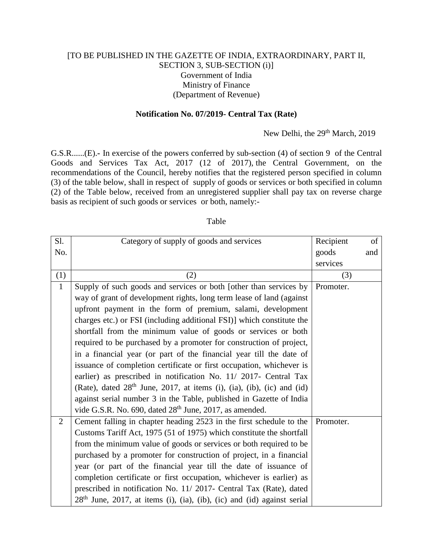## [TO BE PUBLISHED IN THE GAZETTE OF INDIA, EXTRAORDINARY, PART II, SECTION 3, SUB-SECTION (i)] Government of India Ministry of Finance (Department of Revenue)

## **Notification No. 07/2019- Central Tax (Rate)**

## New Delhi, the 29<sup>th</sup> March, 2019

G.S.R......(E).**-** In exercise of the powers conferred by sub-section (4) of section 9 of the Central Goods and Services Tax Act, 2017 (12 of 2017), the Central Government, on the recommendations of the Council, hereby notifies that the registered person specified in column (3) of the table below, shall in respect of supply of goods or services or both specified in column (2) of the Table below, received from an unregistered supplier shall pay tax on reverse charge basis as recipient of such goods or services or both, namely:-

## Table

| Sl.            | Category of supply of goods and services                                  | Recipient | of  |
|----------------|---------------------------------------------------------------------------|-----------|-----|
| No.            |                                                                           | goods     | and |
|                |                                                                           | services  |     |
| (1)            | (2)                                                                       | (3)       |     |
| $\mathbf{1}$   | Supply of such goods and services or both [other than services by         | Promoter. |     |
|                | way of grant of development rights, long term lease of land (against      |           |     |
|                | upfront payment in the form of premium, salami, development               |           |     |
|                | charges etc.) or FSI (including additional FSI)] which constitute the     |           |     |
|                | shortfall from the minimum value of goods or services or both             |           |     |
|                | required to be purchased by a promoter for construction of project,       |           |     |
|                | in a financial year (or part of the financial year till the date of       |           |     |
|                | issuance of completion certificate or first occupation, whichever is      |           |     |
|                | earlier) as prescribed in notification No. 11/ 2017- Central Tax          |           |     |
|                | (Rate), dated $28th$ June, 2017, at items (i), (ia), (ib), (ic) and (id)  |           |     |
|                | against serial number 3 in the Table, published in Gazette of India       |           |     |
|                | vide G.S.R. No. 690, dated 28 <sup>th</sup> June, 2017, as amended.       |           |     |
| $\overline{2}$ | Cement falling in chapter heading 2523 in the first schedule to the       | Promoter. |     |
|                | Customs Tariff Act, 1975 (51 of 1975) which constitute the shortfall      |           |     |
|                | from the minimum value of goods or services or both required to be        |           |     |
|                | purchased by a promoter for construction of project, in a financial       |           |     |
|                | year (or part of the financial year till the date of issuance of          |           |     |
|                | completion certificate or first occupation, whichever is earlier) as      |           |     |
|                | prescribed in notification No. 11/2017- Central Tax (Rate), dated         |           |     |
|                | $28th$ June, 2017, at items (i), (ia), (ib), (ic) and (id) against serial |           |     |